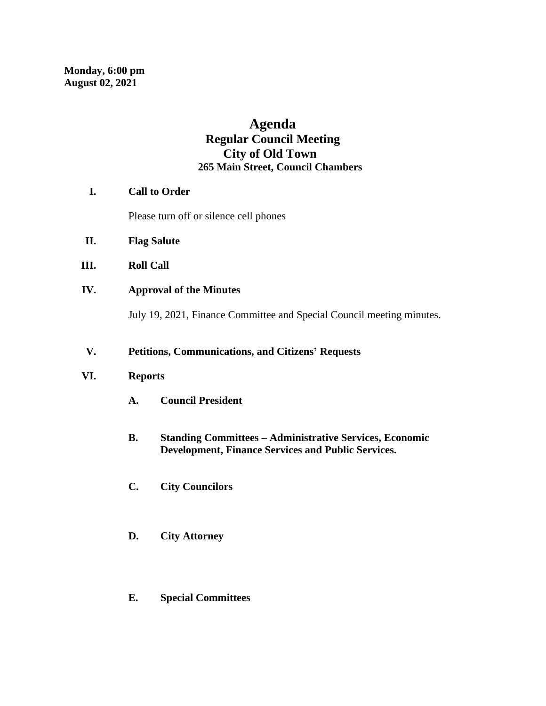# **Agenda Regular Council Meeting City of Old Town 265 Main Street, Council Chambers**

## **I. Call to Order**

Please turn off or silence cell phones

- **II. Flag Salute**
- **III. Roll Call**
- **IV. Approval of the Minutes**

July 19, 2021, Finance Committee and Special Council meeting minutes.

## **V. Petitions, Communications, and Citizens' Requests**

#### **VI. Reports**

- **A. Council President**
- **B. Standing Committees – Administrative Services, Economic Development, Finance Services and Public Services.**
- **C. City Councilors**
- **D. City Attorney**
- **E. Special Committees**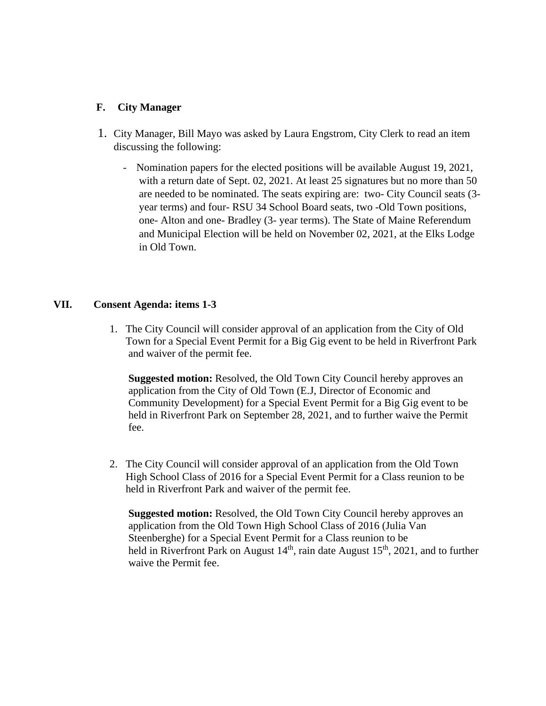#### **F. City Manager**

- 1. City Manager, Bill Mayo was asked by Laura Engstrom, City Clerk to read an item discussing the following:
	- Nomination papers for the elected positions will be available August 19, 2021, with a return date of Sept. 02, 2021. At least 25 signatures but no more than 50 are needed to be nominated. The seats expiring are: two- City Council seats (3 year terms) and four- RSU 34 School Board seats, two -Old Town positions, one- Alton and one- Bradley (3- year terms). The State of Maine Referendum and Municipal Election will be held on November 02, 2021, at the Elks Lodge in Old Town.

## **VII. Consent Agenda: items 1-3**

1. The City Council will consider approval of an application from the City of Old Town for a Special Event Permit for a Big Gig event to be held in Riverfront Park and waiver of the permit fee.

 **Suggested motion:** Resolved, the Old Town City Council hereby approves an application from the City of Old Town (E.J, Director of Economic and Community Development) for a Special Event Permit for a Big Gig event to be held in Riverfront Park on September 28, 2021, and to further waive the Permit fee.

2. The City Council will consider approval of an application from the Old Town High School Class of 2016 for a Special Event Permit for a Class reunion to be held in Riverfront Park and waiver of the permit fee.

 **Suggested motion:** Resolved, the Old Town City Council hereby approves an application from the Old Town High School Class of 2016 (Julia Van Steenberghe) for a Special Event Permit for a Class reunion to be held in Riverfront Park on August  $14<sup>th</sup>$ , rain date August  $15<sup>th</sup>$ , 2021, and to further waive the Permit fee.